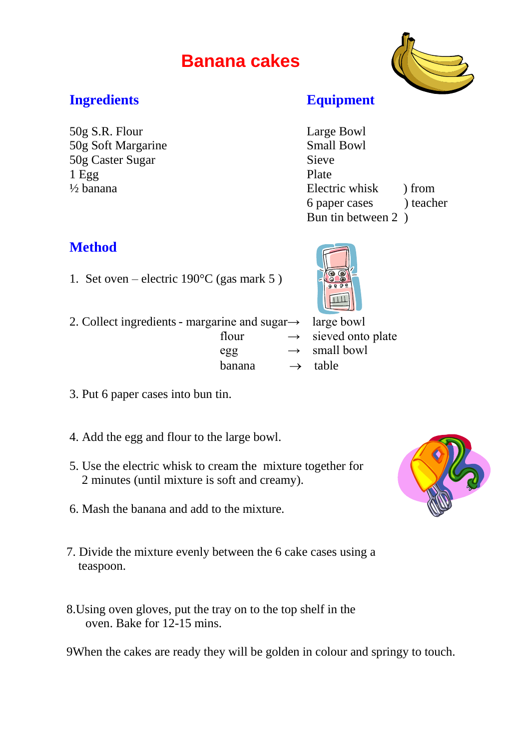# **Banana cakes**



## **Ingredients Equipment**

50g S.R. Flour Large Bowl 50g Soft Margarine Small Bowl 50g Caster Sugar Sieve 1 Egg Plate

 $\frac{1}{2}$  banana Electric whisk  $\frac{1}{2}$  from 6 paper cases ) teacher Bun tin between 2 )

## **Method**

- 1. Set oven electric  $190^{\circ}$ C (gas mark 5)
- 2. Collect ingredients margarine and sugar $\rightarrow$  large bowl



- flour  $\rightarrow$  sieved onto plate  $egg \rightarrow small bowl$ banana  $\rightarrow$  table
- 3. Put 6 paper cases into bun tin.
- 4. Add the egg and flour to the large bowl.
- 5. Use the electric whisk to cream the mixture together for 2 minutes (until mixture is soft and creamy).
- 6. Mash the banana and add to the mixture.
- 7. Divide the mixture evenly between the 6 cake cases using a teaspoon.
- 8.Using oven gloves, put the tray on to the top shelf in the oven. Bake for 12-15 mins.

9When the cakes are ready they will be golden in colour and springy to touch.

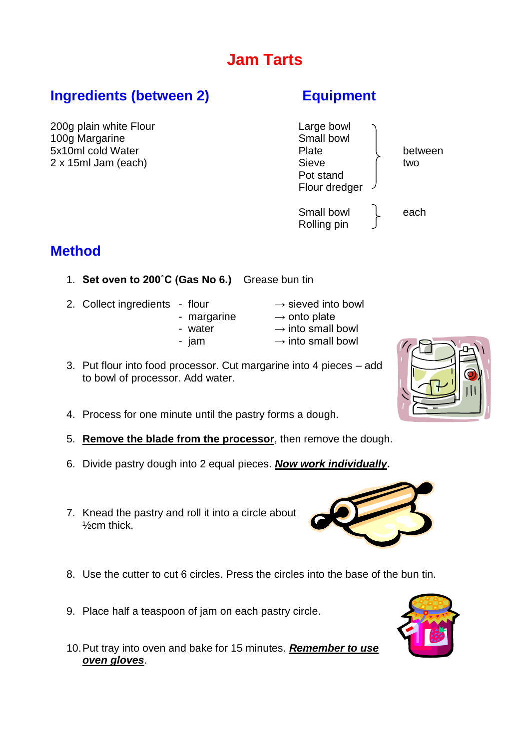# **Jam Tarts**

# **Ingredients (between 2) Equipment**

200g plain white Flour and the contract of the Large bowl 100g Margarine **Small bowl** 

5x10ml cold Water **between** 2 x 15ml Jam (each) Sieve two Pot stand Flour dredger Small bowl leach Rolling pin

# **Method**

- 1. **Set oven to 200˚C (Gas No 6.)** Grease bun tin
- 2. Collect ingredients flour  $\rightarrow$  sieved into bowl
	- margarine  $\rightarrow$  onto plate
- -
	-
- 3. Put flour into food processor. Cut margarine into 4 pieces add to bowl of processor. Add water.
- 4. Process for one minute until the pastry forms a dough.
- 5. **Remove the blade from the processor**, then remove the dough.
- 6. Divide pastry dough into 2 equal pieces. *Now work individually***.**
- 7. Knead the pastry and roll it into a circle about ½cm thick.
- 8. Use the cutter to cut 6 circles. Press the circles into the base of the bun tin.
- 9. Place half a teaspoon of jam on each pastry circle.
- 10.Put tray into oven and bake for 15 minutes. *Remember to use oven gloves*.







- -
- -
- 
- 
- 
- 
- 
- water  $\rightarrow$  into small bowl
	-
- jam  $\rightarrow$  into small bowl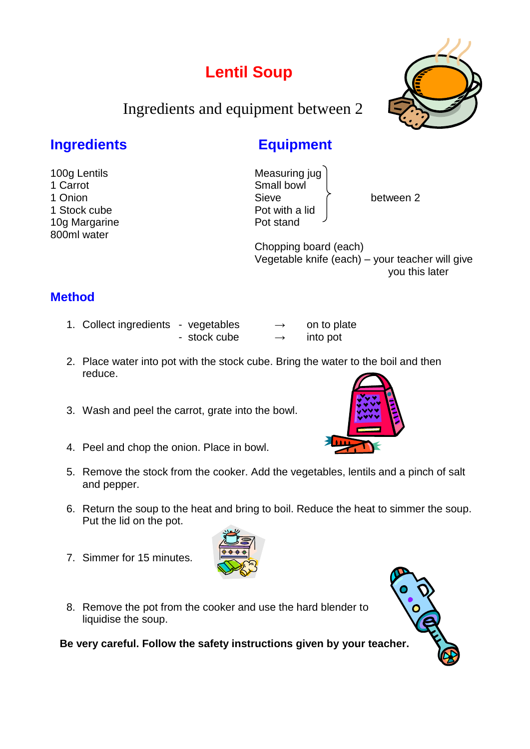# **Lentil Soup**

Ingredients and equipment between 2

## **Ingredients Equipment**

100g Lentils **Measuring** jug 1 Carrot **Small bowl** 1 Onion **Sieve between 2** and Sieve between 2 1 Stock cube **Pot with a lid** 10g Margarine **Pot stand** 

 Chopping board (each) Vegetable knife (each) – your teacher will give you this later

## **Method**

800ml water

- 1. Collect ingredients vegetables  $\rightarrow$  on to plate
	- $-$  stock cube  $\rightarrow$  into pot
- 2. Place water into pot with the stock cube. Bring the water to the boil and then reduce.
- 3. Wash and peel the carrot, grate into the bowl.
- 4. Peel and chop the onion. Place in bowl.
- 5. Remove the stock from the cooker. Add the vegetables, lentils and a pinch of salt and pepper.
- 6. Return the soup to the heat and bring to boil. Reduce the heat to simmer the soup. Put the lid on the pot.
- 7. Simmer for 15 minutes.
- 8. Remove the pot from the cooker and use the hard blender to liquidise the soup.

**Be very careful. Follow the safety instructions given by your teacher.**









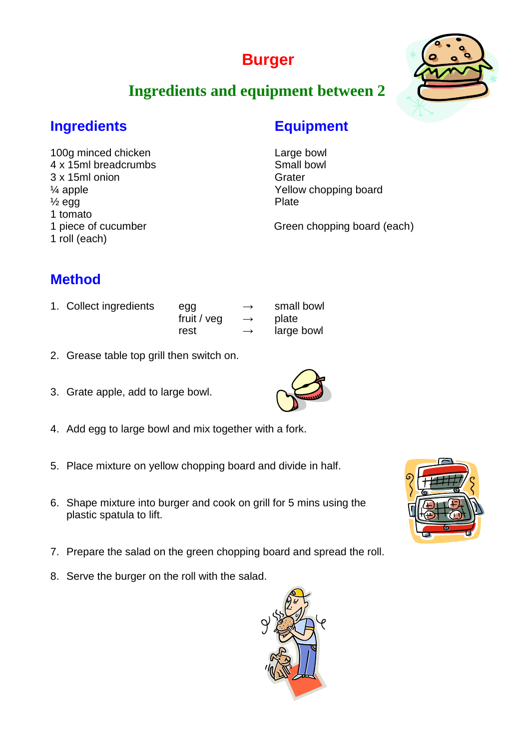# **Burger**



# **Ingredients and equipment between 2**

## **Ingredients Equipment**

100g minced chicken Large bowl 4 x 15ml breadcrumbs Small bowl 3 x 15ml onion Grater  $\frac{1}{2}$  egg Plate 1 tomato 1 roll (each)

¼ apple Yellow chopping board

1 piece of cucumber Green chopping board (each)

# **Method**

1. Collect ingredients egg  $\rightarrow$  small bowl

fruit /  $veq \rightarrow$  plate

- rest  $\rightarrow$  large bowl
- 2. Grease table top grill then switch on.
- 3. Grate apple, add to large bowl.
- 4. Add egg to large bowl and mix together with a fork.
- 5. Place mixture on yellow chopping board and divide in half.
- 6. Shape mixture into burger and cook on grill for 5 mins using the plastic spatula to lift.
- 7. Prepare the salad on the green chopping board and spread the roll.
- 8. Serve the burger on the roll with the salad.